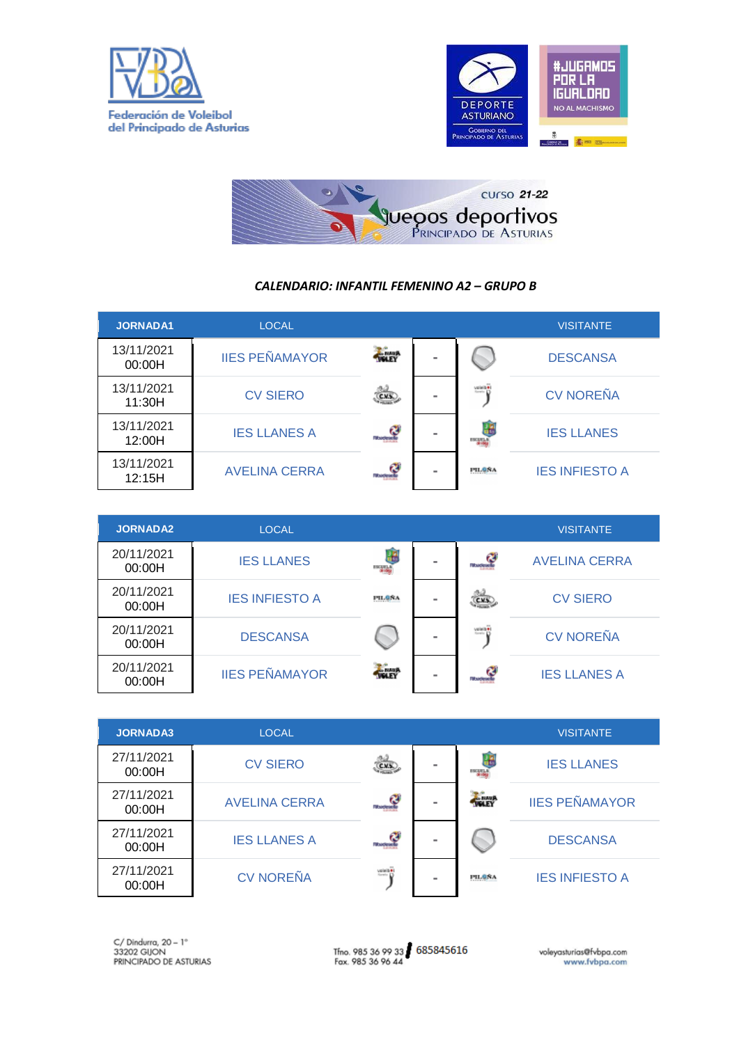





## *CALENDARIO: INFANTIL FEMENINO A2 – GRUPO B*

| <b>JORNADA1</b>      | <b>LOCAL</b>          |                       |          |                     | <b>VISITANTE</b>      |
|----------------------|-----------------------|-----------------------|----------|---------------------|-----------------------|
| 13/11/2021<br>00:00H | <b>IIES PEÑAMAYOR</b> | <b>MANA</b>           | $\equiv$ |                     | <b>DESCANSA</b>       |
| 13/11/2021<br>11:30H | <b>CV SIERO</b>       | C.V.S.                | $\equiv$ | <b>Renale 17</b>    | <b>CV NOREÑA</b>      |
| 13/11/2021<br>12:00H | <b>IES LLANES A</b>   | <b><i>ANGELES</i></b> | -        | J.<br><b>ENGINE</b> | <b>IES LLANES</b>     |
| 13/11/2021<br>12:15H | <b>AVELINA CERRA</b>  | <b>Musculation</b>    | $\equiv$ | PILONA              | <b>IES INFIESTO A</b> |

| <b>JORNADA2</b>      | <b>LOCAL</b>          |               |                      | <b>VISITANTE</b>     |
|----------------------|-----------------------|---------------|----------------------|----------------------|
| 20/11/2021<br>00:00H | <b>IES LLANES</b>     | <b>ESCALA</b> | a<br><b>Backrath</b> | <b>AVELINA CERRA</b> |
| 20/11/2021<br>00:00H | <b>IES INFIESTO A</b> | PILONA        | C.V.S.               | <b>CV SIERO</b>      |
| 20/11/2021<br>00:00H | <b>DESCANSA</b>       |               | voieibe<br>Tomba     | <b>CV NOREÑA</b>     |
| 20/11/2021<br>00:00H | <b>IIES PEÑAMAYOR</b> | <b>NAMA</b>   | ŕ.<br><b>BANKING</b> | <b>IES LLANES A</b>  |

| <b>JORNADA3</b>      | <b>LOCAL</b>         |                                   |          |               | <b>VISITANTE</b>      |
|----------------------|----------------------|-----------------------------------|----------|---------------|-----------------------|
| 27/11/2021<br>00:00H | <b>CV SIERO</b>      | cx                                | $\equiv$ | <b>ESCALA</b> | <b>IES LLANES</b>     |
| 27/11/2021<br>00:00H | <b>AVELINA CERRA</b> | c<br><b>Blacketer</b>             |          | <b>WELEY</b>  | <b>IIES PEÑAMAYOR</b> |
| 27/11/2021<br>00:00H | <b>IES LLANES A</b>  | <b>Rootese</b>                    | $\equiv$ |               | <b>DESCANSA</b>       |
| 27/11/2021<br>00:00H | <b>CV NOREÑA</b>     | velebi <mark>el</mark><br>Tomba D | m.       | PILONA        | <b>IES INFIESTO A</b> |

C/Dindurra, 20 – 1°<br>33202 GIJON<br>PRINCIPADO DE ASTURIAS

Tfno. 985 36 99 33 685845616<br>Fax. 985 36 96 44

voleyasturias@fvbpa.com<br>www.fvbpa.com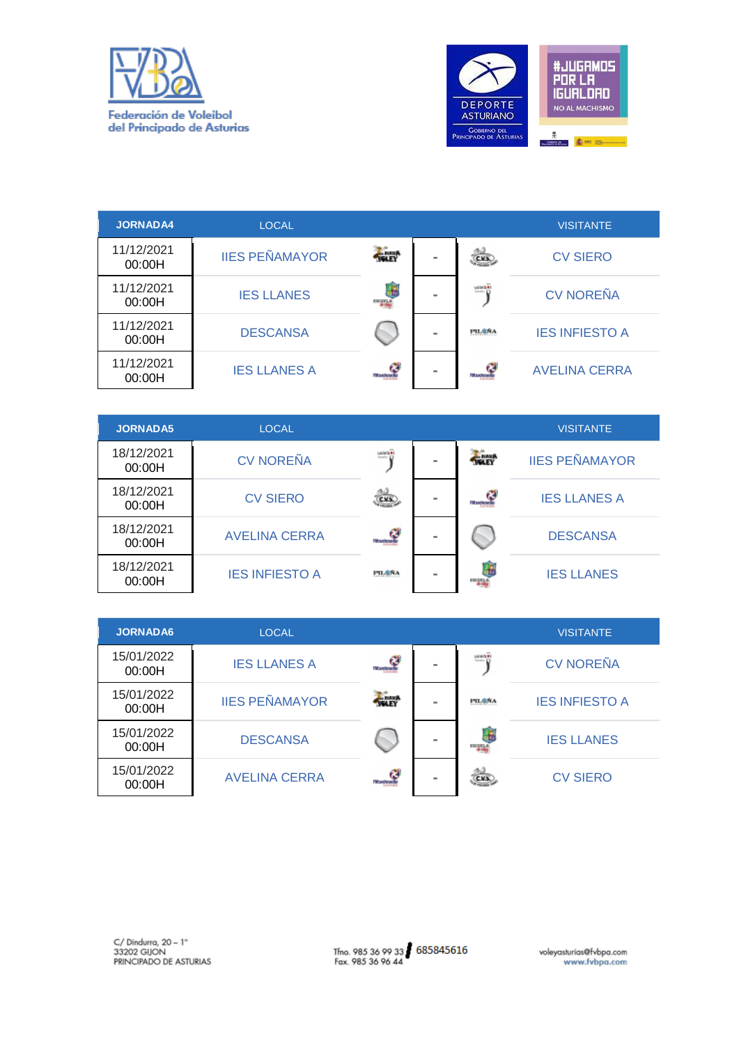



| <b>JORNADA4</b>      | LOCAL                 |                      |                      | <b>VISITANTE</b>      |
|----------------------|-----------------------|----------------------|----------------------|-----------------------|
| 11/12/2021<br>00:00H | <b>IIES PEÑAMAYOR</b> | <b>UGLEY</b>         | CXS.                 | <b>CV SIERO</b>       |
| 11/12/2021<br>00:00H | <b>IES LLANES</b>     | <b>ESCHIEL</b>       | voleiber<br>Trent 13 | <b>CV NOREÑA</b>      |
| 11/12/2021<br>00:00H | <b>DESCANSA</b>       |                      | PILGNA               | <b>IES INFIESTO A</b> |
| 11/12/2021<br>00:00H | <b>IES LLANES A</b>   | <b>Filippochesis</b> |                      | <b>AVELINA CERRA</b>  |

| <b>JORNADA5</b>      | <b>LOCAL</b>          |                       |        |                       | <b>VISITANTE</b>      |
|----------------------|-----------------------|-----------------------|--------|-----------------------|-----------------------|
| 18/12/2021<br>00:00H | <b>CV NOREÑA</b>      | voietà et             | $\sim$ | <b>WALEY</b>          | <b>IIES PEÑAMAYOR</b> |
| 18/12/2021<br>00:00H | <b>CV SIERO</b>       | C.V.S.                | ÷      | æ                     | <b>IES LLANES A</b>   |
| 18/12/2021<br>00:00H | <b>AVELINA CERRA</b>  | c<br><b>Blueching</b> | ۰      |                       | <b>DESCANSA</b>       |
| 18/12/2021<br>00:00H | <b>IES INFIESTO A</b> | PIL@NA                | ۰      | £<br><b>ESCURRENT</b> | <b>IES LLANES</b>     |

| <b>JORNADA6</b>      | <b>LOCAL</b>          |                       |   |                    | <b>VISITANTE</b>  |
|----------------------|-----------------------|-----------------------|---|--------------------|-------------------|
| 15/01/2022<br>00:00H | <b>IES LLANES A</b>   | ø<br><b>Ricocessi</b> | - | voieibe            | <b>CV NOREÑA</b>  |
| 15/01/2022<br>00:00H | <b>IIES PEÑAMAYOR</b> | <b>MANA</b>           | - | <b>PILQSA</b>      | IES INFIESTO A    |
| 15/01/2022<br>00:00H | <b>DESCANSA</b>       |                       | - | Æ<br><b>ENGINE</b> | <b>IES LLANES</b> |
| 15/01/2022<br>00:00H | <b>AVELINA CERRA</b>  | ۵<br><b>Harpers</b>   |   | C.V.S.             | <b>CV SIERO</b>   |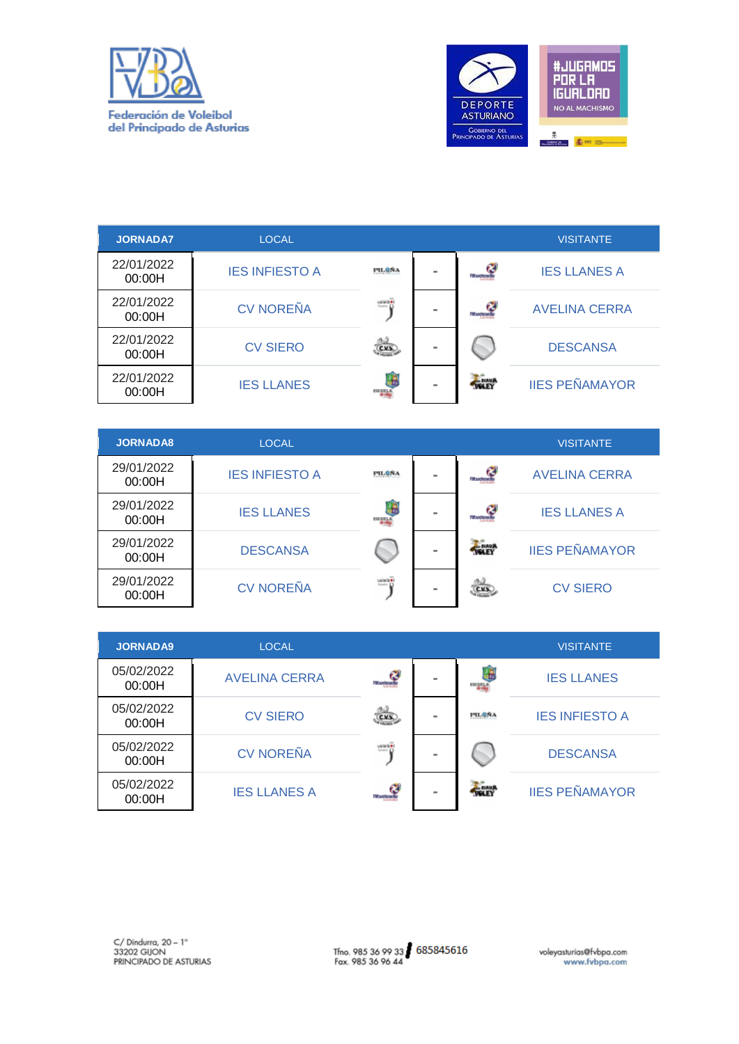



| <b>JORNADA7</b>      | <b>LOCAL</b>          |                                                          |                |              | <b>VISITANTE</b>      |
|----------------------|-----------------------|----------------------------------------------------------|----------------|--------------|-----------------------|
| 22/01/2022<br>00:00H | <b>IES INFIESTO A</b> | PILGNA                                                   | $\blacksquare$ | - 3          | <b>IES LLANES A</b>   |
| 22/01/2022<br>00:00H | <b>CV NOREÑA</b>      | ÿ                                                        |                | <b>S</b>     | <b>AVELINA CERRA</b>  |
| 22/01/2022<br>00:00H | <b>CV SIERO</b>       | $\frac{\partial \hat{\mathcal{L}}}{\partial \mathbf{x}}$ | $\equiv$       |              | <b>DESCANSA</b>       |
| 22/01/2022<br>00:00H | <b>IES LLANES</b>     |                                                          | $\equiv$       | <b>WALEY</b> | <b>IIES PEÑAMAYOR</b> |
|                      |                       |                                                          |                |              |                       |
| <b>JORNADA8</b>      | <b>LOCAL</b>          |                                                          |                |              | <b>VISITANTE</b>      |
|                      |                       |                                                          |                |              |                       |
| 29/01/2022<br>00:00H | <b>IES INFIESTO A</b> | PIL@NA                                                   | $\equiv$       | - 2          | <b>AVELINA CERRA</b>  |
| 29/01/2022<br>00:00H | <b>IES LLANES</b>     | 畵<br><b>PART</b>                                         |                | <b>S</b>     | <b>IES LLANES A</b>   |
| 29/01/2022<br>00:00H | <b>DESCANSA</b>       |                                                          | $\equiv$       | <b>THEY</b>  | <b>IIES PEÑAMAYOR</b> |
| 29/01/2022<br>00:00H | <b>CV NOREÑA</b>      | wi≠hiji                                                  | ÷              | C.V.S.       | <b>CV SIERO</b>       |
|                      |                       |                                                          |                |              |                       |

| <b>JORNADA9</b>      | <b>LOCAL</b>         |                 |          |                      | <b>VISITANTE</b>      |
|----------------------|----------------------|-----------------|----------|----------------------|-----------------------|
| 05/02/2022<br>00:00H | <b>AVELINA CERRA</b> | $\mathbf{G}$    | $\equiv$ | Æ<br><b>ENGINEER</b> | <b>IES LLANES</b>     |
| 05/02/2022<br>00:00H | <b>CV SIERO</b>      | CMS             |          | <b>PILGNA</b>        | <b>IES INFIESTO A</b> |
| 05/02/2022<br>00:00H | <b>CV NOREÑA</b>     | veletine)<br>Cl | m.       |                      | <b>DESCANSA</b>       |
| 05/02/2022<br>00:00H | <b>IES LLANES A</b>  | Rocessi         | m.       | <b>WALEY</b>         | <b>IIES PEÑAMAYOR</b> |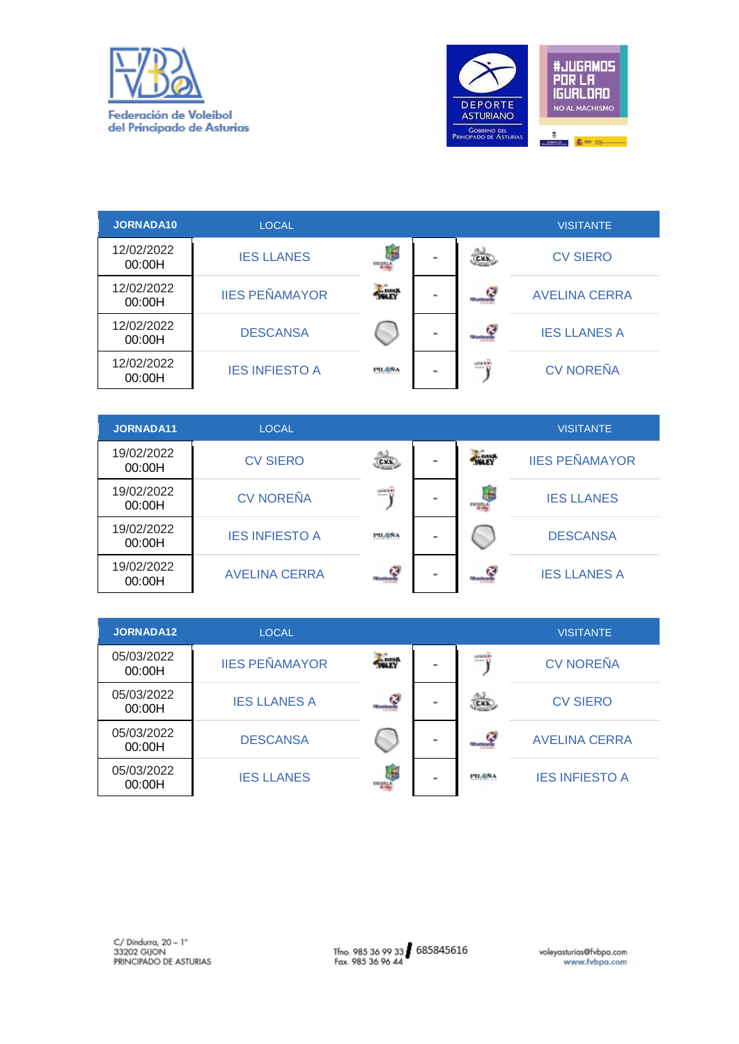



| <b>JORNADA10</b>     | <b>LOCAL</b>          |                |    |                                | <b>VISITANTE</b>     |
|----------------------|-----------------------|----------------|----|--------------------------------|----------------------|
| 12/02/2022<br>00:00H | <b>IES LLANES</b>     | <b>ESCALAR</b> |    | C.V.S.                         | <b>CV SIERO</b>      |
| 12/02/2022<br>00:00H | <b>IIES PEÑAMAYOR</b> | <b>UGLEY</b>   | m. | <b><i>Charless</i></b>         | <b>AVELINA CERRA</b> |
| 12/02/2022<br>00:00H | <b>DESCANSA</b>       |                |    | <b>Little and</b>              | <b>IES LLANES A</b>  |
| 12/02/2022<br>00:00H | <b>IES INFIESTO A</b> | <b>PILGNA</b>  |    | voietbe<br><b>Recentles</b> IT | <b>CV NOREÑA</b>     |

| <b>JORNADA11</b>     | <b>LOCAL</b>          |                                  |          |                     | <b>VISITANTE</b>      |
|----------------------|-----------------------|----------------------------------|----------|---------------------|-----------------------|
| 19/02/2022<br>00:00H | <b>CV SIERO</b>       | C.V.S.                           | $\equiv$ | <b>UNLEY</b>        | <b>IIES PEÑAMAYOR</b> |
| 19/02/2022<br>00:00H | <b>CV NOREÑA</b>      | veleta <mark>re</mark><br>Circum | $\equiv$ | Ŧ<br><b>ESCURLA</b> | <b>IES LLANES</b>     |
| 19/02/2022<br>00:00H | <b>IES INFIESTO A</b> | PIL@NA                           | -        |                     | <b>DESCANSA</b>       |
| 19/02/2022<br>00:00H | <b>AVELINA CERRA</b>  | «Radgas»                         | -        | a                   | <b>IES LLANES A</b>   |

| <b>JORNADA12</b>     | <b>LOCAL</b>          |                     |          |                      | <b>VISITANTE</b>      |
|----------------------|-----------------------|---------------------|----------|----------------------|-----------------------|
| 05/03/2022<br>00:00H | <b>IIES PEÑAMAYOR</b> | <b>WELEY</b>        |          | voieibe              | <b>CV NOREÑA</b>      |
| 05/03/2022<br>00:00H | <b>IES LLANES A</b>   | c<br><b>Rootese</b> | $\equiv$ | C.V.S.               | <b>CV SIERO</b>       |
| 05/03/2022<br>00:00H | <b>DESCANSA</b>       |                     | $\equiv$ | Ĝ<br><b>Rudestly</b> | <b>AVELINA CERRA</b>  |
| 05/03/2022<br>00:00H | <b>IES LLANES</b>     | <b>ESCURRENT</b>    | $\equiv$ | PILONA               | <b>IES INFIESTO A</b> |